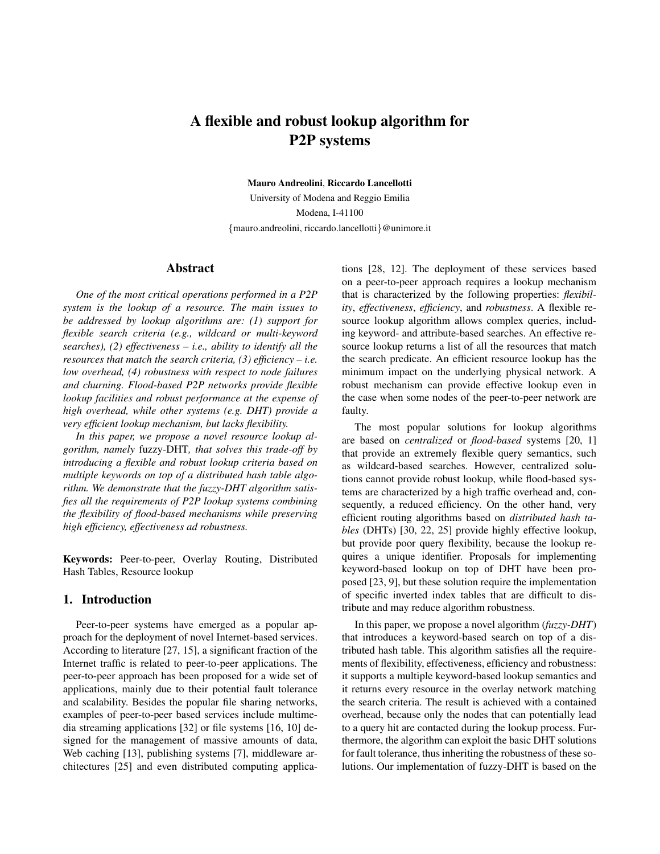# **A flexible and robust lookup algorithm for P2P systems**

**Mauro Andreolini**, **Riccardo Lancellotti**

University of Modena and Reggio Emilia Modena, I-41100 {mauro.andreolini, riccardo.lancellotti}@unimore.it

# **Abstract**

*One of the most critical operations performed in a P2P system is the lookup of a resource. The main issues to be addressed by lookup algorithms are: (1) support for flexible search criteria (e.g., wildcard or multi-keyword searches), (2) effectiveness – i.e., ability to identify all the resources that match the search criteria, (3) efficiency – i.e. low overhead, (4) robustness with respect to node failures and churning. Flood-based P2P networks provide flexible lookup facilities and robust performance at the expense of high overhead, while other systems (e.g. DHT) provide a very efficient lookup mechanism, but lacks flexibility.*

*In this paper, we propose a novel resource lookup algorithm, namely* fuzzy-DHT*, that solves this trade-off by introducing a flexible and robust lookup criteria based on multiple keywords on top of a distributed hash table algorithm. We demonstrate that the fuzzy-DHT algorithm satisfies all the requirements of P2P lookup systems combining the flexibility of flood-based mechanisms while preserving high efficiency, effectiveness ad robustness.*

**Keywords:** Peer-to-peer, Overlay Routing, Distributed Hash Tables, Resource lookup

#### **1. Introduction**

Peer-to-peer systems have emerged as a popular approach for the deployment of novel Internet-based services. According to literature [27, 15], a significant fraction of the Internet traffic is related to peer-to-peer applications. The peer-to-peer approach has been proposed for a wide set of applications, mainly due to their potential fault tolerance and scalability. Besides the popular file sharing networks, examples of peer-to-peer based services include multimedia streaming applications [32] or file systems [16, 10] designed for the management of massive amounts of data, Web caching [13], publishing systems [7], middleware architectures [25] and even distributed computing applications [28, 12]. The deployment of these services based on a peer-to-peer approach requires a lookup mechanism that is characterized by the following properties: *flexibility*, *effectiveness*, *efficiency*, and *robustness*. A flexible resource lookup algorithm allows complex queries, including keyword- and attribute-based searches. An effective resource lookup returns a list of all the resources that match the search predicate. An efficient resource lookup has the minimum impact on the underlying physical network. A robust mechanism can provide effective lookup even in the case when some nodes of the peer-to-peer network are faulty.

The most popular solutions for lookup algorithms are based on *centralized* or *flood-based* systems [20, 1] that provide an extremely flexible query semantics, such as wildcard-based searches. However, centralized solutions cannot provide robust lookup, while flood-based systems are characterized by a high traffic overhead and, consequently, a reduced efficiency. On the other hand, very efficient routing algorithms based on *distributed hash tables* (DHTs) [30, 22, 25] provide highly effective lookup, but provide poor query flexibility, because the lookup requires a unique identifier. Proposals for implementing keyword-based lookup on top of DHT have been proposed [23, 9], but these solution require the implementation of specific inverted index tables that are difficult to distribute and may reduce algorithm robustness.

In this paper, we propose a novel algorithm (*fuzzy-DHT*) that introduces a keyword-based search on top of a distributed hash table. This algorithm satisfies all the requirements of flexibility, effectiveness, efficiency and robustness: it supports a multiple keyword-based lookup semantics and it returns every resource in the overlay network matching the search criteria. The result is achieved with a contained overhead, because only the nodes that can potentially lead to a query hit are contacted during the lookup process. Furthermore, the algorithm can exploit the basic DHT solutions for fault tolerance, thus inheriting the robustness of these solutions. Our implementation of fuzzy-DHT is based on the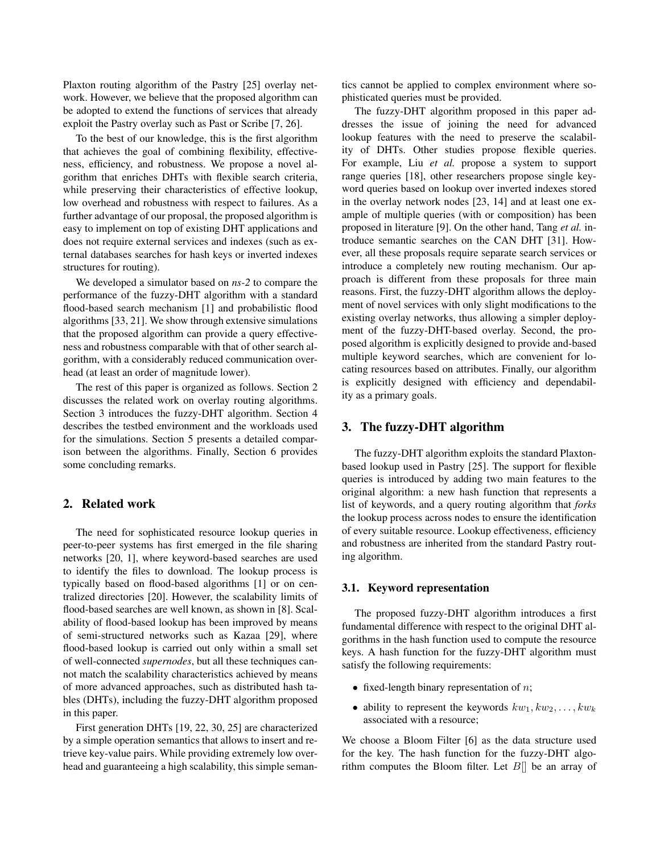Plaxton routing algorithm of the Pastry [25] overlay network. However, we believe that the proposed algorithm can be adopted to extend the functions of services that already exploit the Pastry overlay such as Past or Scribe [7, 26].

To the best of our knowledge, this is the first algorithm that achieves the goal of combining flexibility, effectiveness, efficiency, and robustness. We propose a novel algorithm that enriches DHTs with flexible search criteria, while preserving their characteristics of effective lookup, low overhead and robustness with respect to failures. As a further advantage of our proposal, the proposed algorithm is easy to implement on top of existing DHT applications and does not require external services and indexes (such as external databases searches for hash keys or inverted indexes structures for routing).

We developed a simulator based on *ns-2* to compare the performance of the fuzzy-DHT algorithm with a standard flood-based search mechanism [1] and probabilistic flood algorithms [33, 21]. We show through extensive simulations that the proposed algorithm can provide a query effectiveness and robustness comparable with that of other search algorithm, with a considerably reduced communication overhead (at least an order of magnitude lower).

The rest of this paper is organized as follows. Section 2 discusses the related work on overlay routing algorithms. Section 3 introduces the fuzzy-DHT algorithm. Section 4 describes the testbed environment and the workloads used for the simulations. Section 5 presents a detailed comparison between the algorithms. Finally, Section 6 provides some concluding remarks.

# **2. Related work**

The need for sophisticated resource lookup queries in peer-to-peer systems has first emerged in the file sharing networks [20, 1], where keyword-based searches are used to identify the files to download. The lookup process is typically based on flood-based algorithms [1] or on centralized directories [20]. However, the scalability limits of flood-based searches are well known, as shown in [8]. Scalability of flood-based lookup has been improved by means of semi-structured networks such as Kazaa [29], where flood-based lookup is carried out only within a small set of well-connected *supernodes*, but all these techniques cannot match the scalability characteristics achieved by means of more advanced approaches, such as distributed hash tables (DHTs), including the fuzzy-DHT algorithm proposed in this paper.

First generation DHTs [19, 22, 30, 25] are characterized by a simple operation semantics that allows to insert and retrieve key-value pairs. While providing extremely low overhead and guaranteeing a high scalability, this simple seman-

tics cannot be applied to complex environment where sophisticated queries must be provided.

The fuzzy-DHT algorithm proposed in this paper addresses the issue of joining the need for advanced lookup features with the need to preserve the scalability of DHTs. Other studies propose flexible queries. For example, Liu *et al.* propose a system to support range queries [18], other researchers propose single keyword queries based on lookup over inverted indexes stored in the overlay network nodes [23, 14] and at least one example of multiple queries (with or composition) has been proposed in literature [9]. On the other hand, Tang *et al.* introduce semantic searches on the CAN DHT [31]. However, all these proposals require separate search services or introduce a completely new routing mechanism. Our approach is different from these proposals for three main reasons. First, the fuzzy-DHT algorithm allows the deployment of novel services with only slight modifications to the existing overlay networks, thus allowing a simpler deployment of the fuzzy-DHT-based overlay. Second, the proposed algorithm is explicitly designed to provide and-based multiple keyword searches, which are convenient for locating resources based on attributes. Finally, our algorithm is explicitly designed with efficiency and dependability as a primary goals.

# **3. The fuzzy-DHT algorithm**

The fuzzy-DHT algorithm exploits the standard Plaxtonbased lookup used in Pastry [25]. The support for flexible queries is introduced by adding two main features to the original algorithm: a new hash function that represents a list of keywords, and a query routing algorithm that *forks* the lookup process across nodes to ensure the identification of every suitable resource. Lookup effectiveness, efficiency and robustness are inherited from the standard Pastry routing algorithm.

#### **3.1. Keyword representation**

The proposed fuzzy-DHT algorithm introduces a first fundamental difference with respect to the original DHT algorithms in the hash function used to compute the resource keys. A hash function for the fuzzy-DHT algorithm must satisfy the following requirements:

- fixed-length binary representation of  $n$ ;
- ability to represent the keywords  $kw_1, kw_2, \ldots, kw_k$ associated with a resource;

We choose a Bloom Filter [6] as the data structure used for the key. The hash function for the fuzzy-DHT algorithm computes the Bloom filter. Let  $B[\]$  be an array of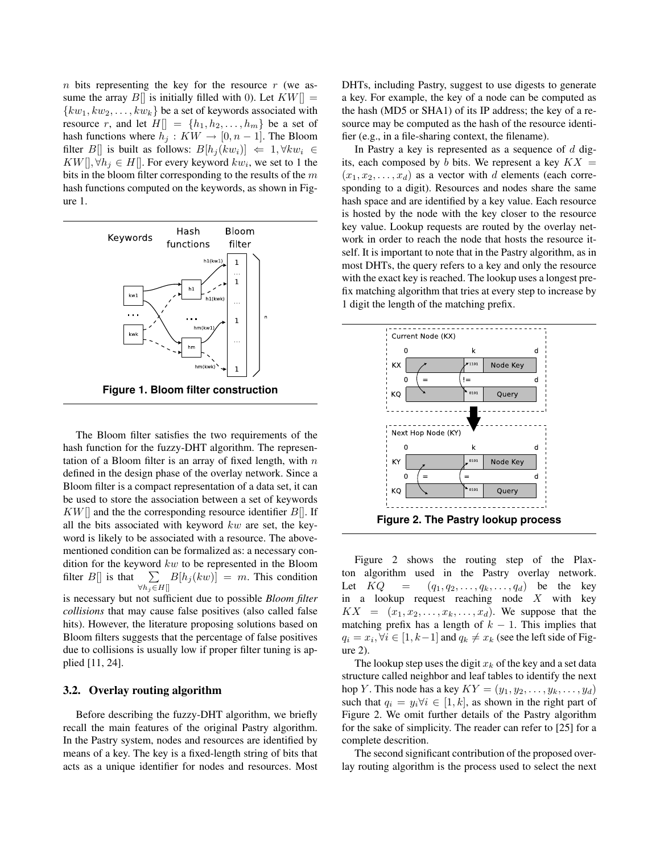n bits representing the key for the resource  $r$  (we assume the array  $B\|$  is initially filled with 0). Let  $KW\| =$  ${kw_1, kw_2, \ldots, kw_k}$  be a set of keywords associated with resource r, and let  $H[] = \{h_1, h_2, \ldots, h_m\}$  be a set of hash functions where  $h_j : KW \to [0, n-1]$ . The Bloom filter B[] is built as follows:  $B[h_i(kw_i)] \Leftarrow 1, \forall k w_i \in$  $KW[],\forall h_j\in H[]$ . For every keyword  $kw_i$ , we set to 1 the bits in the bloom filter corresponding to the results of the  $m$ hash functions computed on the keywords, as shown in Figure 1.



**Figure 1. Bloom filter construction**

The Bloom filter satisfies the two requirements of the hash function for the fuzzy-DHT algorithm. The representation of a Bloom filter is an array of fixed length, with  $n$ defined in the design phase of the overlay network. Since a Bloom filter is a compact representation of a data set, it can be used to store the association between a set of keywords  $KW\mathcal{F}$  and the the corresponding resource identifier  $B\mathcal{F}$ . If all the bits associated with keyword  $kw$  are set, the keyword is likely to be associated with a resource. The abovementioned condition can be formalized as: a necessary condition for the keyword  $kw$  to be represented in the Bloom filter  $B[\]$  is that  $∀h<sub>j</sub>∈H[]$  $\sum B[h_i(kw)] = m$ . This condition is necessary but not sufficient due to possible *Bloom filter collisions* that may cause false positives (also called false

hits). However, the literature proposing solutions based on Bloom filters suggests that the percentage of false positives due to collisions is usually low if proper filter tuning is applied [11, 24].

#### **3.2. Overlay routing algorithm**

Before describing the fuzzy-DHT algorithm, we briefly recall the main features of the original Pastry algorithm. In the Pastry system, nodes and resources are identified by means of a key. The key is a fixed-length string of bits that acts as a unique identifier for nodes and resources. Most

DHTs, including Pastry, suggest to use digests to generate a key. For example, the key of a node can be computed as the hash (MD5 or SHA1) of its IP address; the key of a resource may be computed as the hash of the resource identifier (e.g., in a file-sharing context, the filename).

In Pastry a key is represented as a sequence of  $d$  digits, each composed by b bits. We represent a key  $KX =$  $(x_1, x_2, \ldots, x_d)$  as a vector with d elements (each corresponding to a digit). Resources and nodes share the same hash space and are identified by a key value. Each resource is hosted by the node with the key closer to the resource key value. Lookup requests are routed by the overlay network in order to reach the node that hosts the resource itself. It is important to note that in the Pastry algorithm, as in most DHTs, the query refers to a key and only the resource with the exact key is reached. The lookup uses a longest prefix matching algorithm that tries at every step to increase by 1 digit the length of the matching prefix.



Figure 2 shows the routing step of the Plaxton algorithm used in the Pastry overlay network. Let  $KQ = (q_1, q_2, \ldots, q_k, \ldots, q_d)$  be the key in a lookup request reaching node  $X$  with key  $KX = (x_1, x_2, \ldots, x_k, \ldots, x_d)$ . We suppose that the matching prefix has a length of  $k - 1$ . This implies that  $q_i = x_i, \forall i \in [1, k-1]$  and  $q_k \neq x_k$  (see the left side of Figure 2).

The lookup step uses the digit  $x_k$  of the key and a set data structure called neighbor and leaf tables to identify the next hop Y. This node has a key  $KY = (y_1, y_2, \ldots, y_k, \ldots, y_d)$ such that  $q_i = y_i \forall i \in [1, k]$ , as shown in the right part of Figure 2. We omit further details of the Pastry algorithm for the sake of simplicity. The reader can refer to [25] for a complete descrition.

The second significant contribution of the proposed overlay routing algorithm is the process used to select the next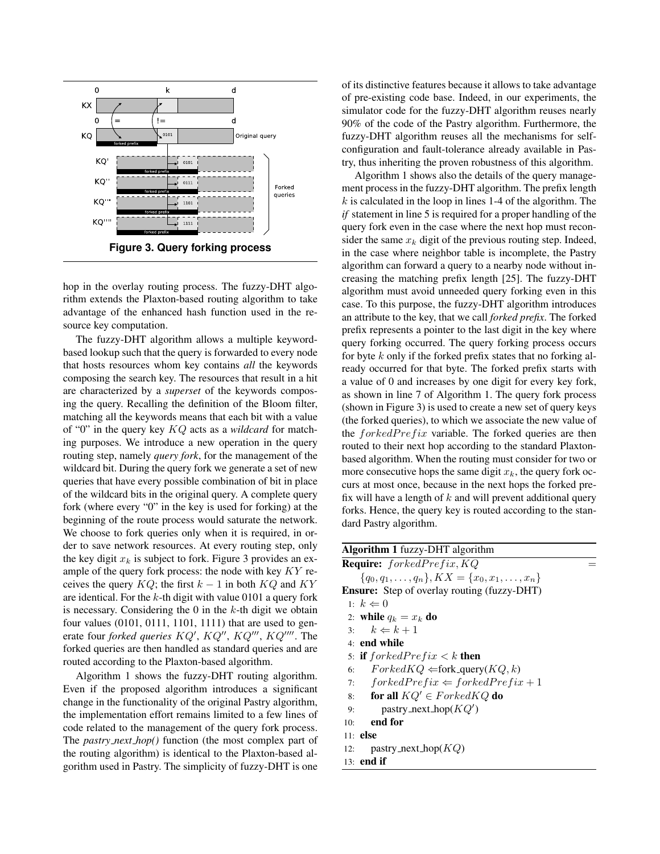

hop in the overlay routing process. The fuzzy-DHT algorithm extends the Plaxton-based routing algorithm to take advantage of the enhanced hash function used in the resource key computation.

The fuzzy-DHT algorithm allows a multiple keywordbased lookup such that the query is forwarded to every node that hosts resources whom key contains *all* the keywords composing the search key. The resources that result in a hit are characterized by a *superset* of the keywords composing the query. Recalling the definition of the Bloom filter, matching all the keywords means that each bit with a value of "0" in the query key KQ acts as a *wildcard* for matching purposes. We introduce a new operation in the query routing step, namely *query fork*, for the management of the wildcard bit. During the query fork we generate a set of new queries that have every possible combination of bit in place of the wildcard bits in the original query. A complete query fork (where every "0" in the key is used for forking) at the beginning of the route process would saturate the network. We choose to fork queries only when it is required, in order to save network resources. At every routing step, only the key digit  $x_k$  is subject to fork. Figure 3 provides an example of the query fork process: the node with key  $KY$  receives the query  $KQ$ ; the first  $k - 1$  in both  $KQ$  and  $KY$ are identical. For the  $k$ -th digit with value 0101 a query fork is necessary. Considering the  $0$  in the  $k$ -th digit we obtain four values (0101, 0111, 1101, 1111) that are used to generate four *forked queries KQ'*, *KQ''*, *KQ'''*, *KQ'''*. The forked queries are then handled as standard queries and are routed according to the Plaxton-based algorithm.

Algorithm 1 shows the fuzzy-DHT routing algorithm. Even if the proposed algorithm introduces a significant change in the functionality of the original Pastry algorithm, the implementation effort remains limited to a few lines of code related to the management of the query fork process. The *pastry next hop()* function (the most complex part of the routing algorithm) is identical to the Plaxton-based algorithm used in Pastry. The simplicity of fuzzy-DHT is one

of its distinctive features because it allows to take advantage of pre-existing code base. Indeed, in our experiments, the simulator code for the fuzzy-DHT algorithm reuses nearly 90% of the code of the Pastry algorithm. Furthermore, the fuzzy-DHT algorithm reuses all the mechanisms for selfconfiguration and fault-tolerance already available in Pastry, thus inheriting the proven robustness of this algorithm.

Algorithm 1 shows also the details of the query management process in the fuzzy-DHT algorithm. The prefix length  $k$  is calculated in the loop in lines 1-4 of the algorithm. The *if* statement in line 5 is required for a proper handling of the query fork even in the case where the next hop must reconsider the same  $x_k$  digit of the previous routing step. Indeed, in the case where neighbor table is incomplete, the Pastry algorithm can forward a query to a nearby node without increasing the matching prefix length [25]. The fuzzy-DHT algorithm must avoid unneeded query forking even in this case. To this purpose, the fuzzy-DHT algorithm introduces an attribute to the key, that we call *forked prefix*. The forked prefix represents a pointer to the last digit in the key where query forking occurred. The query forking process occurs for byte  $k$  only if the forked prefix states that no forking already occurred for that byte. The forked prefix starts with a value of 0 and increases by one digit for every key fork, as shown in line 7 of Algorithm 1. The query fork process (shown in Figure 3) is used to create a new set of query keys (the forked queries), to which we associate the new value of the  $for kedPrefix$  variable. The forked queries are then routed to their next hop according to the standard Plaxtonbased algorithm. When the routing must consider for two or more consecutive hops the same digit  $x_k$ , the query fork occurs at most once, because in the next hops the forked prefix will have a length of  $k$  and will prevent additional query forks. Hence, the query key is routed according to the standard Pastry algorithm.

| <b>Algorithm 1</b> fuzzy-DHT algorithm                  |
|---------------------------------------------------------|
| <b>Require:</b> forkedPrefix, KQ                        |
| ${q_0, q_1, \ldots, q_n}, KX = {x_0, x_1, \ldots, x_n}$ |
| <b>Ensure:</b> Step of overlay routing (fuzzy-DHT)      |
| 1: $k \Leftarrow 0$                                     |
| 2: while $q_k = x_k$ do                                 |
| 3: $k \Leftarrow k+1$                                   |
| $4:$ end while                                          |
| 5: if $for kedPrefix < k$ then                          |
| $ForkedKQ \Leftarrow$ fork_query( $KQ, k$ )<br>6:       |
| 7: $forkedPrefix \Leftarrow forkedPrefix + 1$           |
| for all $KQ' \in ForkedKQ$ do<br>8:                     |
| pastry_next_hop( $KQ'$ )<br>9:                          |
| end for<br>10:                                          |
| $11:$ else                                              |
| pastry_next_hop $(KQ)$<br>12:                           |
| $13:$ end if                                            |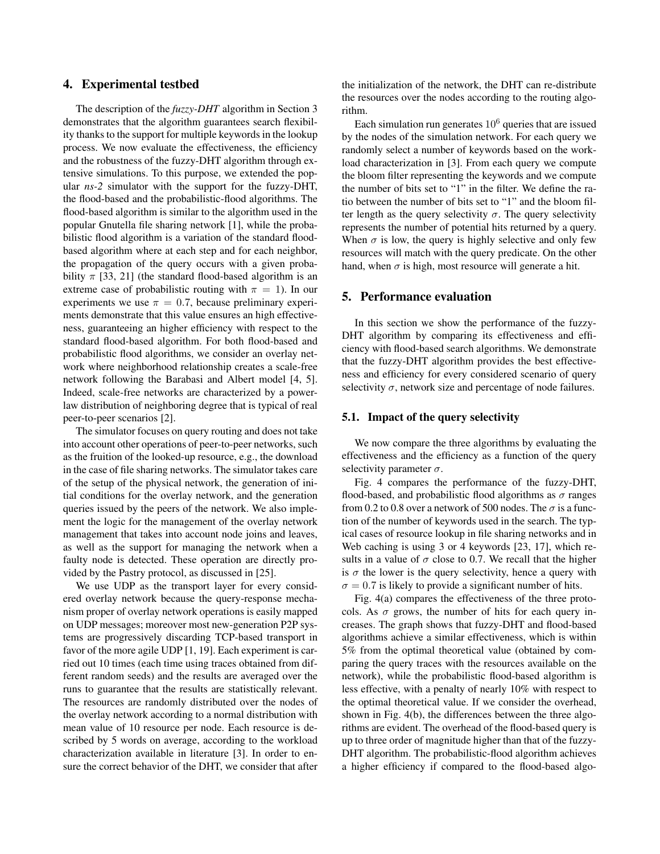### **4. Experimental testbed**

The description of the *fuzzy-DHT* algorithm in Section 3 demonstrates that the algorithm guarantees search flexibility thanks to the support for multiple keywords in the lookup process. We now evaluate the effectiveness, the efficiency and the robustness of the fuzzy-DHT algorithm through extensive simulations. To this purpose, we extended the popular *ns-2* simulator with the support for the fuzzy-DHT, the flood-based and the probabilistic-flood algorithms. The flood-based algorithm is similar to the algorithm used in the popular Gnutella file sharing network [1], while the probabilistic flood algorithm is a variation of the standard floodbased algorithm where at each step and for each neighbor, the propagation of the query occurs with a given probability  $\pi$  [33, 21] (the standard flood-based algorithm is an extreme case of probabilistic routing with  $\pi = 1$ ). In our experiments we use  $\pi = 0.7$ , because preliminary experiments demonstrate that this value ensures an high effectiveness, guaranteeing an higher efficiency with respect to the standard flood-based algorithm. For both flood-based and probabilistic flood algorithms, we consider an overlay network where neighborhood relationship creates a scale-free network following the Barabasi and Albert model [4, 5]. Indeed, scale-free networks are characterized by a powerlaw distribution of neighboring degree that is typical of real peer-to-peer scenarios [2].

The simulator focuses on query routing and does not take into account other operations of peer-to-peer networks, such as the fruition of the looked-up resource, e.g., the download in the case of file sharing networks. The simulator takes care of the setup of the physical network, the generation of initial conditions for the overlay network, and the generation queries issued by the peers of the network. We also implement the logic for the management of the overlay network management that takes into account node joins and leaves, as well as the support for managing the network when a faulty node is detected. These operation are directly provided by the Pastry protocol, as discussed in [25].

We use UDP as the transport layer for every considered overlay network because the query-response mechanism proper of overlay network operations is easily mapped on UDP messages; moreover most new-generation P2P systems are progressively discarding TCP-based transport in favor of the more agile UDP [1, 19]. Each experiment is carried out 10 times (each time using traces obtained from different random seeds) and the results are averaged over the runs to guarantee that the results are statistically relevant. The resources are randomly distributed over the nodes of the overlay network according to a normal distribution with mean value of 10 resource per node. Each resource is described by 5 words on average, according to the workload characterization available in literature [3]. In order to ensure the correct behavior of the DHT, we consider that after the initialization of the network, the DHT can re-distribute the resources over the nodes according to the routing algorithm.

Each simulation run generates  $10<sup>6</sup>$  queries that are issued by the nodes of the simulation network. For each query we randomly select a number of keywords based on the workload characterization in [3]. From each query we compute the bloom filter representing the keywords and we compute the number of bits set to "1" in the filter. We define the ratio between the number of bits set to "1" and the bloom filter length as the query selectivity  $\sigma$ . The query selectivity represents the number of potential hits returned by a query. When  $\sigma$  is low, the query is highly selective and only few resources will match with the query predicate. On the other hand, when  $\sigma$  is high, most resource will generate a hit.

### **5. Performance evaluation**

In this section we show the performance of the fuzzy-DHT algorithm by comparing its effectiveness and efficiency with flood-based search algorithms. We demonstrate that the fuzzy-DHT algorithm provides the best effectiveness and efficiency for every considered scenario of query selectivity  $\sigma$ , network size and percentage of node failures.

#### **5.1. Impact of the query selectivity**

We now compare the three algorithms by evaluating the effectiveness and the efficiency as a function of the query selectivity parameter  $\sigma$ .

Fig. 4 compares the performance of the fuzzy-DHT, flood-based, and probabilistic flood algorithms as  $\sigma$  ranges from 0.2 to 0.8 over a network of 500 nodes. The  $\sigma$  is a function of the number of keywords used in the search. The typical cases of resource lookup in file sharing networks and in Web caching is using 3 or 4 keywords [23, 17], which results in a value of  $\sigma$  close to 0.7. We recall that the higher is  $\sigma$  the lower is the query selectivity, hence a query with  $\sigma = 0.7$  is likely to provide a significant number of hits.

Fig. 4(a) compares the effectiveness of the three protocols. As  $\sigma$  grows, the number of hits for each query increases. The graph shows that fuzzy-DHT and flood-based algorithms achieve a similar effectiveness, which is within 5% from the optimal theoretical value (obtained by comparing the query traces with the resources available on the network), while the probabilistic flood-based algorithm is less effective, with a penalty of nearly 10% with respect to the optimal theoretical value. If we consider the overhead, shown in Fig. 4(b), the differences between the three algorithms are evident. The overhead of the flood-based query is up to three order of magnitude higher than that of the fuzzy-DHT algorithm. The probabilistic-flood algorithm achieves a higher efficiency if compared to the flood-based algo-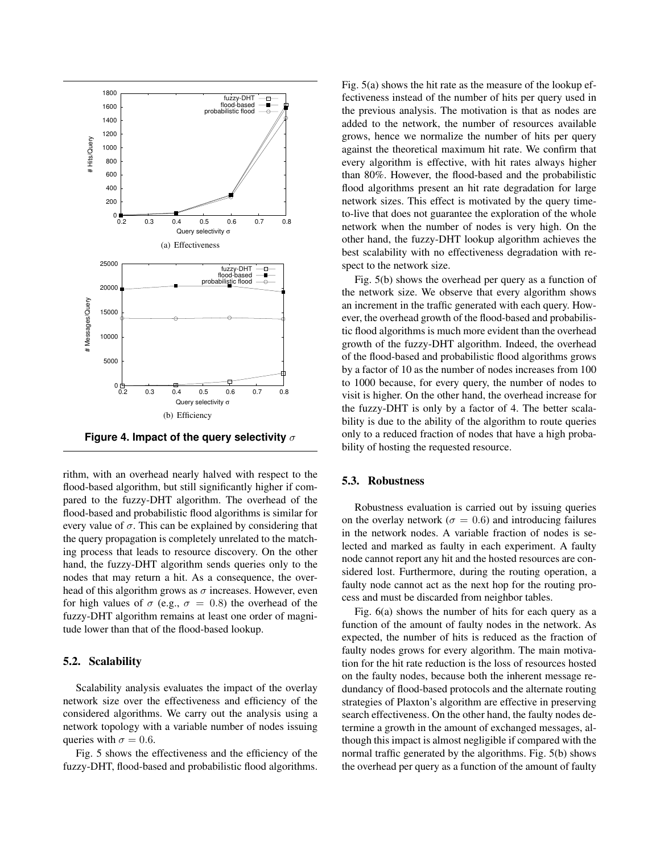

rithm, with an overhead nearly halved with respect to the flood-based algorithm, but still significantly higher if compared to the fuzzy-DHT algorithm. The overhead of the flood-based and probabilistic flood algorithms is similar for every value of  $\sigma$ . This can be explained by considering that the query propagation is completely unrelated to the matching process that leads to resource discovery. On the other hand, the fuzzy-DHT algorithm sends queries only to the nodes that may return a hit. As a consequence, the overhead of this algorithm grows as  $\sigma$  increases. However, even for high values of  $\sigma$  (e.g.,  $\sigma = 0.8$ ) the overhead of the fuzzy-DHT algorithm remains at least one order of magnitude lower than that of the flood-based lookup.

#### **5.2. Scalability**

Scalability analysis evaluates the impact of the overlay network size over the effectiveness and efficiency of the considered algorithms. We carry out the analysis using a network topology with a variable number of nodes issuing queries with  $\sigma = 0.6$ .

Fig. 5 shows the effectiveness and the efficiency of the fuzzy-DHT, flood-based and probabilistic flood algorithms.

Fig. 5(a) shows the hit rate as the measure of the lookup effectiveness instead of the number of hits per query used in the previous analysis. The motivation is that as nodes are added to the network, the number of resources available grows, hence we normalize the number of hits per query against the theoretical maximum hit rate. We confirm that every algorithm is effective, with hit rates always higher than 80%. However, the flood-based and the probabilistic flood algorithms present an hit rate degradation for large network sizes. This effect is motivated by the query timeto-live that does not guarantee the exploration of the whole network when the number of nodes is very high. On the other hand, the fuzzy-DHT lookup algorithm achieves the best scalability with no effectiveness degradation with respect to the network size.

Fig. 5(b) shows the overhead per query as a function of the network size. We observe that every algorithm shows an increment in the traffic generated with each query. However, the overhead growth of the flood-based and probabilistic flood algorithms is much more evident than the overhead growth of the fuzzy-DHT algorithm. Indeed, the overhead of the flood-based and probabilistic flood algorithms grows by a factor of 10 as the number of nodes increases from 100 to 1000 because, for every query, the number of nodes to visit is higher. On the other hand, the overhead increase for the fuzzy-DHT is only by a factor of 4. The better scalability is due to the ability of the algorithm to route queries only to a reduced fraction of nodes that have a high probability of hosting the requested resource.

#### **5.3. Robustness**

Robustness evaluation is carried out by issuing queries on the overlay network ( $\sigma = 0.6$ ) and introducing failures in the network nodes. A variable fraction of nodes is selected and marked as faulty in each experiment. A faulty node cannot report any hit and the hosted resources are considered lost. Furthermore, during the routing operation, a faulty node cannot act as the next hop for the routing process and must be discarded from neighbor tables.

Fig. 6(a) shows the number of hits for each query as a function of the amount of faulty nodes in the network. As expected, the number of hits is reduced as the fraction of faulty nodes grows for every algorithm. The main motivation for the hit rate reduction is the loss of resources hosted on the faulty nodes, because both the inherent message redundancy of flood-based protocols and the alternate routing strategies of Plaxton's algorithm are effective in preserving search effectiveness. On the other hand, the faulty nodes determine a growth in the amount of exchanged messages, although this impact is almost negligible if compared with the normal traffic generated by the algorithms. Fig. 5(b) shows the overhead per query as a function of the amount of faulty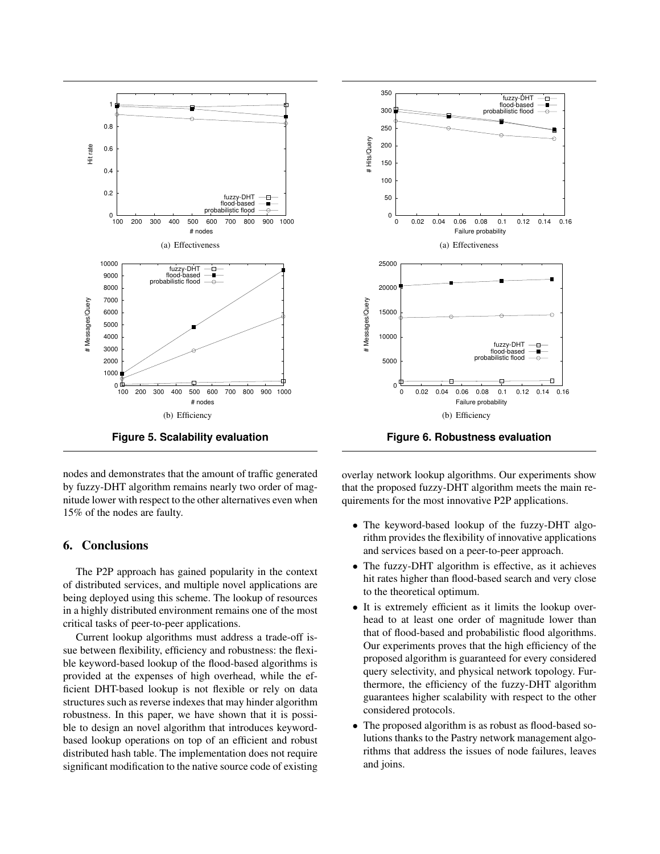

**Figure 5. Scalability evaluation**

nodes and demonstrates that the amount of traffic generated by fuzzy-DHT algorithm remains nearly two order of magnitude lower with respect to the other alternatives even when 15% of the nodes are faulty.

# **6. Conclusions**

The P2P approach has gained popularity in the context of distributed services, and multiple novel applications are being deployed using this scheme. The lookup of resources in a highly distributed environment remains one of the most critical tasks of peer-to-peer applications.

Current lookup algorithms must address a trade-off issue between flexibility, efficiency and robustness: the flexible keyword-based lookup of the flood-based algorithms is provided at the expenses of high overhead, while the efficient DHT-based lookup is not flexible or rely on data structures such as reverse indexes that may hinder algorithm robustness. In this paper, we have shown that it is possible to design an novel algorithm that introduces keywordbased lookup operations on top of an efficient and robust distributed hash table. The implementation does not require significant modification to the native source code of existing



**Figure 6. Robustness evaluation**

overlay network lookup algorithms. Our experiments show that the proposed fuzzy-DHT algorithm meets the main requirements for the most innovative P2P applications.

- The keyword-based lookup of the fuzzy-DHT algorithm provides the flexibility of innovative applications and services based on a peer-to-peer approach.
- The fuzzy-DHT algorithm is effective, as it achieves hit rates higher than flood-based search and very close to the theoretical optimum.
- It is extremely efficient as it limits the lookup overhead to at least one order of magnitude lower than that of flood-based and probabilistic flood algorithms. Our experiments proves that the high efficiency of the proposed algorithm is guaranteed for every considered query selectivity, and physical network topology. Furthermore, the efficiency of the fuzzy-DHT algorithm guarantees higher scalability with respect to the other considered protocols.
- The proposed algorithm is as robust as flood-based solutions thanks to the Pastry network management algorithms that address the issues of node failures, leaves and joins.